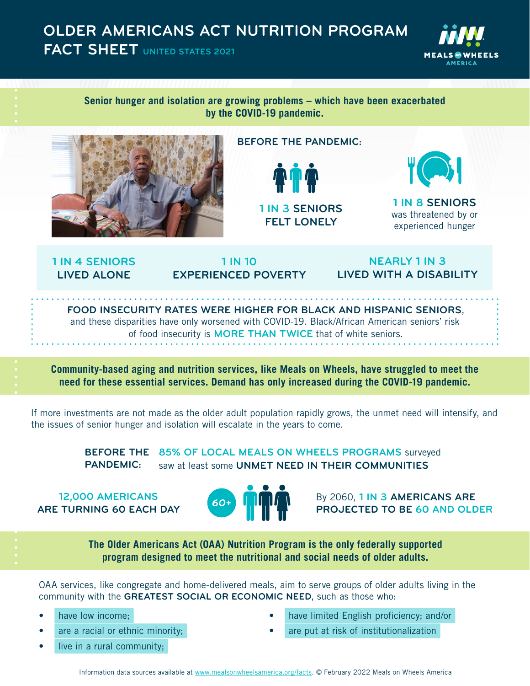## **OLDER AMERICANS ACT NUTRITION PROGRAM FACT SHEET UNITED STATES 2021**



## **Senior hunger and isolation are growing problems – which have been exacerbated by the COVID-19 pandemic.**



## **BEFORE THE PANDEMIC:**





**1 IN 8 SENIORS**  was threatened by or experienced hunger

**1 IN 4 SENIORS LIVED ALONE**

**1 IN 10 EXPERIENCED POVERTY**

**NEARLY 1 IN 3 LIVED WITH A DISABILITY** 

**FOOD INSECURITY RATES WERE HIGHER FOR BLACK AND HISPANIC SENIORS**, and these disparities have only worsened with COVID-19. Black/African American seniors' risk of food insecurity is **MORE THAN TWICE** that of white seniors.

**Community-based aging and nutrition services, like Meals on Wheels, have struggled to meet the need for these essential services. Demand has only increased during the COVID-19 pandemic.** 

If more investments are not made as the older adult population rapidly grows, the unmet need will intensify, and the issues of senior hunger and isolation will escalate in the years to come.

> **85% OF LOCAL MEALS ON WHEELS PROGRAMS** surveyed **BEFORE THE**  saw at least some **UNMET NEED IN THEIR COMMUNITIES PANDEMIC:**

**12,000 AMERICANS ARE TURNING 60 EACH DAY** 



By 2060, **1 IN 3 AMERICANS ARE PROJECTED TO BE 60 AND OLDER**

**The Older Americans Act (OAA) Nutrition Program is the only federally supported program designed to meet the nutritional and social needs of older adults.** 

OAA services, like congregate and home-delivered meals, aim to serve groups of older adults living in the community with the **GREATEST SOCIAL OR ECONOMIC NEED**, such as those who:

- have low income;
- are a racial or ethnic minority;
- live in a rural community;
- have limited English proficiency; and/or
- are put at risk of institutionalization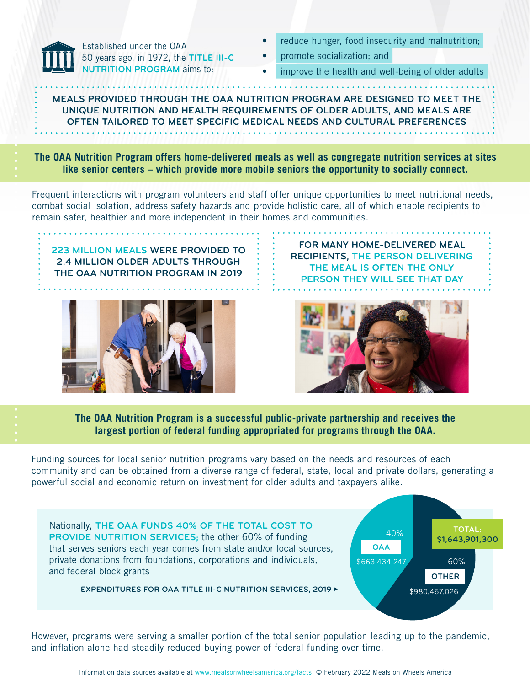

Established under the OAA 50 years ago, in 1972, the **TITLE III-C NUTRITION PROGRAM** aims to:

- reduce hunger, food insecurity and malnutrition;
- promote socialization; and
- improve the health and well-being of older adults

**MEALS PROVIDED THROUGH THE OAA NUTRITION PROGRAM ARE DESIGNED TO MEET THE UNIQUE NUTRITION AND HEALTH REQUIREMENTS OF OLDER ADULTS, AND MEALS ARE OFTEN TAILORED TO MEET SPECIFIC MEDICAL NEEDS AND CULTURAL PREFERENCES**

**The OAA Nutrition Program offers home-delivered meals as well as congregate nutrition services at sites like senior centers – which provide more mobile seniors the opportunity to socially connect.**

Frequent interactions with program volunteers and staff offer unique opportunities to meet nutritional needs, combat social isolation, address safety hazards and provide holistic care, all of which enable recipients to remain safer, healthier and more independent in their homes and communities.

**223 MILLION MEALS WERE PROVIDED TO 2.4 MILLION OLDER ADULTS THROUGH THE OAA NUTRITION PROGRAM IN 2019**



**FOR MANY HOME-DELIVERED MEAL RECIPIENTS, THE PERSON DELIVERING THE MEAL IS OFTEN THE ONLY PERSON THEY WILL SEE THAT DAY**



**The OAA Nutrition Program is a successful public-private partnership and receives the largest portion of federal funding appropriated for programs through the OAA.** 

Funding sources for local senior nutrition programs vary based on the needs and resources of each community and can be obtained from a diverse range of federal, state, local and private dollars, generating a powerful social and economic return on investment for older adults and taxpayers alike.

Nationally, **THE OAA FUNDS 40% OF THE TOTAL COST TO PROVIDE NUTRITION SERVICES;** the other 60% of funding that serves seniors each year comes from state and/or local sources, private donations from foundations, corporations and individuals, and federal block grants

**EXPENDITURES FOR OAA TITLE III-C NUTRITION SERVICES, 2019 t**



However, programs were serving a smaller portion of the total senior population leading up to the pandemic, and inflation alone had steadily reduced buying power of federal funding over time.